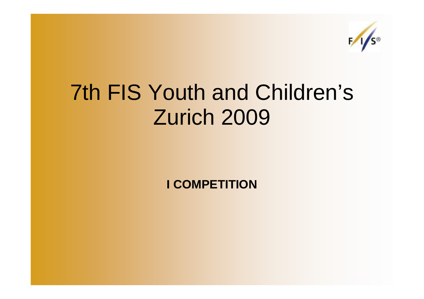

## 7th FIS Youth and Children's Zurich 2009

**I COMPETITION**